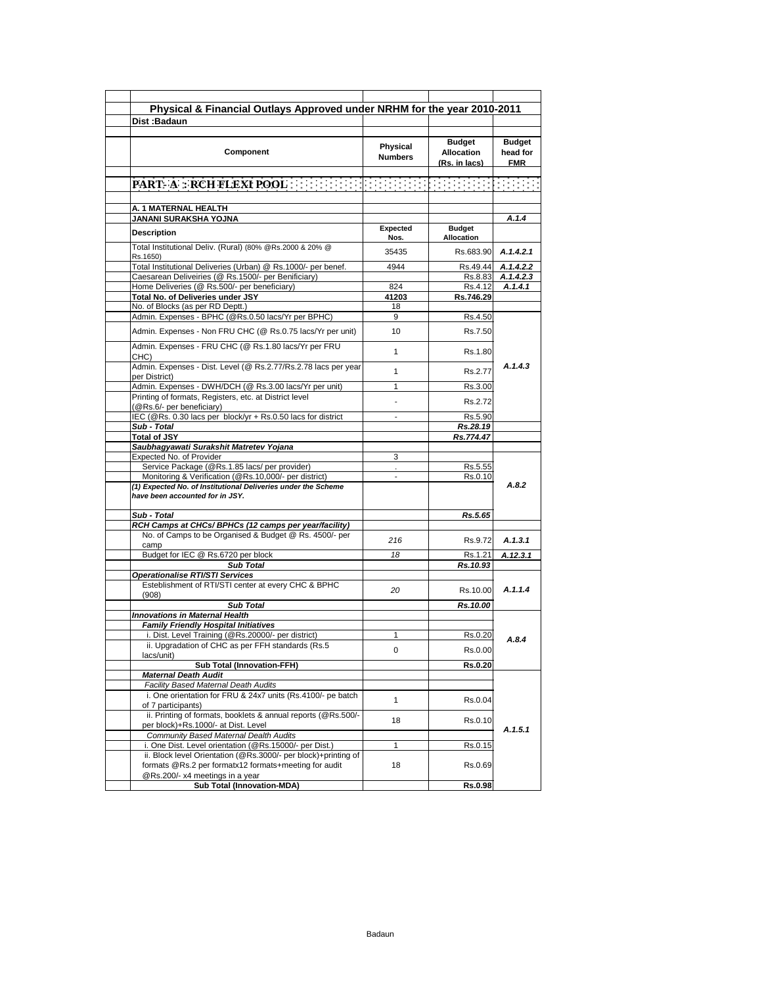| Physical & Financial Outlays Approved under NRHM for the year 2010-2011                                                 |                            |                                                     |                                         |
|-------------------------------------------------------------------------------------------------------------------------|----------------------------|-----------------------------------------------------|-----------------------------------------|
| Dist:Badaun                                                                                                             |                            |                                                     |                                         |
| Component                                                                                                               | Physical<br><b>Numbers</b> | <b>Budget</b><br><b>Allocation</b><br>(Rs. in lacs) | <b>Budget</b><br>head for<br><b>FMR</b> |
|                                                                                                                         |                            |                                                     |                                         |
| A. 1 MATERNAL HEALTH                                                                                                    |                            |                                                     |                                         |
| JANANI SURAKSHA YOJNA                                                                                                   |                            |                                                     | A.1.4                                   |
| <b>Description</b>                                                                                                      | Expected<br>Nos.           | <b>Budget</b><br>Allocation                         |                                         |
| Total Institutional Deliv. (Rural) (80% @Rs.2000 & 20% @<br>Rs.1650)                                                    | 35435                      | Rs.683.90                                           | A.1.4.2.1                               |
| Total Institutional Deliveries (Urban) @ Rs.1000/- per benef.                                                           | 4944                       | Rs.49.44                                            | A.1.4.2.2                               |
| Caesarean Deliveiries (@ Rs.1500/- per Benificiary)                                                                     |                            | Rs.8.83                                             | A.1.4.2.3                               |
| Home Deliveries (@ Rs.500/- per beneficiary)                                                                            | 824                        | Rs.4.12                                             | A.1.4.1                                 |
| Total No. of Deliveries under JSY<br>No. of Blocks (as per RD Deptt.)                                                   | 41203<br>18                | Rs.746.29                                           |                                         |
| Admin. Expenses - BPHC (@Rs.0.50 lacs/Yr per BPHC)                                                                      | 9                          | Rs.4.50                                             |                                         |
| Admin. Expenses - Non FRU CHC (@ Rs.0.75 lacs/Yr per unit)                                                              | 10                         | Rs.7.50                                             |                                         |
| Admin. Expenses - FRU CHC (@ Rs.1.80 lacs/Yr per FRU<br>CHC)                                                            | 1                          | Rs.1.80                                             |                                         |
| Admin. Expenses - Dist. Level (@ Rs.2.77/Rs.2.78 lacs per year<br>per District)                                         | 1                          | Rs.2.77                                             | A.1.4.3                                 |
| Admin. Expenses - DWH/DCH (@ Rs.3.00 lacs/Yr per unit)                                                                  | 1                          | Rs.3.00                                             |                                         |
| Printing of formats, Registers, etc. at District level<br>(@Rs.6/- per beneficiary)                                     |                            | Rs.2.72                                             |                                         |
| IEC (@Rs. 0.30 lacs per block/yr + Rs.0.50 lacs for district                                                            | ٠                          | Rs.5.90                                             |                                         |
| Sub - Total                                                                                                             |                            | Rs.28.19                                            |                                         |
| <b>Total of JSY</b>                                                                                                     |                            | Rs.774.47                                           |                                         |
| Saubhagyawati Surakshit Matretev Yojana                                                                                 |                            |                                                     |                                         |
| Expected No. of Provider<br>Service Package (@Rs.1.85 lacs/ per provider)                                               | 3                          | Rs.5.55                                             |                                         |
| Monitoring & Verification (@Rs.10,000/- per district)                                                                   | ÷                          | Rs.0.10                                             |                                         |
| (1) Expected No. of Institutional Deliveries under the Scheme<br>have been accounted for in JSY.<br>Sub - Total         |                            |                                                     | A.8.2                                   |
| RCH Camps at CHCs/ BPHCs (12 camps per year/facility)                                                                   |                            | Rs.5.65                                             |                                         |
| No. of Camps to be Organised & Budget @ Rs. 4500/- per<br>camp                                                          | 216                        | Rs.9.72                                             | A.1.3.1                                 |
| Budget for IEC @ Rs.6720 per block                                                                                      | 18                         | Rs.1.21                                             | A.12.3.1                                |
| <b>Sub Total</b>                                                                                                        |                            | Rs.10.93                                            |                                         |
| Operationalise RTI/STI Services                                                                                         |                            |                                                     |                                         |
| Esteblishment of RTI/STI center at every CHC & BPHC<br>(908)                                                            | 20                         | Rs.10.00                                            | A.1.1.4                                 |
| <b>Sub Total</b>                                                                                                        |                            | Rs.10.00                                            |                                         |
| <b>Innovations in Maternal Health</b>                                                                                   |                            |                                                     |                                         |
| <b>Family Friendly Hospital Initiatives</b>                                                                             |                            |                                                     |                                         |
| i. Dist. Level Training (@Rs.20000/- per district)<br>ii. Upgradation of CHC as per FFH standards (Rs.5                 | 1                          | Rs.0.20                                             | A.8.4                                   |
| lacs/unit)                                                                                                              | 0                          | Rs.0.00                                             |                                         |
| <b>Sub Total (Innovation-FFH)</b><br><b>Maternal Death Audit</b>                                                        |                            | Rs.0.20                                             |                                         |
| Facility Based Maternal Death Audits                                                                                    |                            |                                                     |                                         |
| i. One orientation for FRU & 24x7 units (Rs.4100/- pe batch<br>of 7 participants)                                       | $\mathbf{1}$               | Rs.0.04                                             |                                         |
| ii. Printing of formats, booklets & annual reports (@Rs.500/-<br>per block)+Rs.1000/- at Dist. Level                    | 18                         | Rs.0.10                                             |                                         |
| Community Based Maternal Dealth Audits                                                                                  |                            |                                                     | A.1.5.1                                 |
| i. One Dist. Level orientation (@Rs.15000/- per Dist.)                                                                  | 1                          | Rs.0.15                                             |                                         |
| ii. Block level Orientation (@Rs.3000/- per block)+printing of<br>formats @Rs.2 per formatx12 formats+meeting for audit | 18                         | Rs.0.69                                             |                                         |
| @Rs.200/- x4 meetings in a year<br>Sub Total (Innovation-MDA)                                                           |                            | <b>Rs.0.98</b>                                      |                                         |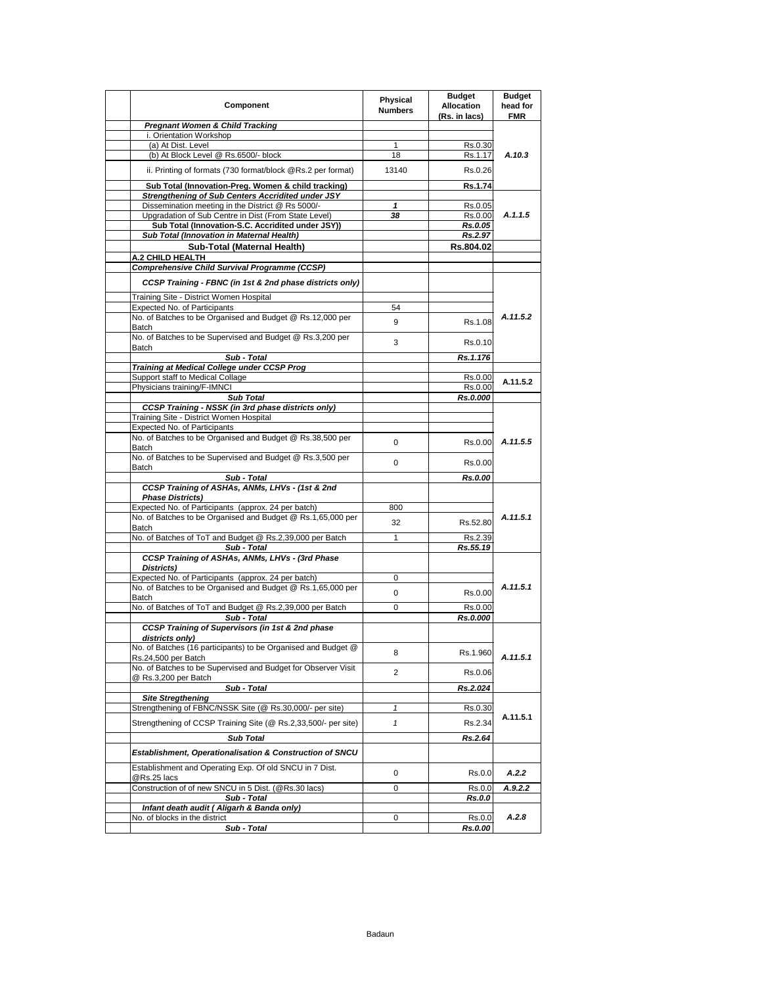| Component                                                                                                          | Physical<br><b>Numbers</b> | <b>Budget</b><br><b>Allocation</b><br>(Rs. in lacs) | <b>Budget</b><br>head for<br><b>FMR</b> |
|--------------------------------------------------------------------------------------------------------------------|----------------------------|-----------------------------------------------------|-----------------------------------------|
| <b>Pregnant Women &amp; Child Tracking</b>                                                                         |                            |                                                     |                                         |
| i. Orientation Workshop                                                                                            |                            |                                                     |                                         |
| (a) At Dist. Level<br>(b) At Block Level @ Rs.6500/- block                                                         | 1<br>18                    | Rs.0.30<br>Rs.1.17                                  | A.10.3                                  |
|                                                                                                                    | 13140                      |                                                     |                                         |
| ii. Printing of formats (730 format/block @Rs.2 per format)                                                        |                            | Rs.0.26                                             |                                         |
| Sub Total (Innovation-Preg. Women & child tracking)                                                                |                            | Rs.1.74                                             |                                         |
| Strengthening of Sub Centers Accridited under JSY<br>Dissemination meeting in the District @ Rs 5000/-             | 1                          | Rs.0.05                                             |                                         |
| Upgradation of Sub Centre in Dist (From State Level)                                                               | 38                         | Rs.0.00                                             | A.1.1.5                                 |
| Sub Total (Innovation-S.C. Accridited under JSY))                                                                  |                            | Rs.0.05                                             |                                         |
| Sub Total (Innovation in Maternal Health)                                                                          |                            | Rs.2.97                                             |                                         |
| Sub-Total (Maternal Health)                                                                                        |                            | Rs.804.02                                           |                                         |
| A.2 CHILD HEALTH<br>Comprehensive Child Survival Programme (CCSP)                                                  |                            |                                                     |                                         |
| CCSP Training - FBNC (in 1st & 2nd phase districts only)                                                           |                            |                                                     |                                         |
| Training Site - District Women Hospital                                                                            |                            |                                                     |                                         |
| Expected No. of Participants                                                                                       | 54                         |                                                     |                                         |
| No. of Batches to be Organised and Budget @ Rs.12,000 per                                                          |                            |                                                     | A.11.5.2                                |
| Batch                                                                                                              | 9                          | Rs.1.08                                             |                                         |
| No. of Batches to be Supervised and Budget @ Rs.3,200 per                                                          | 3                          | Rs.0.10                                             |                                         |
| Batch<br>Sub - Total                                                                                               |                            | Rs.1.176                                            |                                         |
| Training at Medical College under CCSP Prog                                                                        |                            |                                                     |                                         |
| Support staff to Medical Collage                                                                                   |                            | Rs.0.00                                             | A.11.5.2                                |
| Physicians training/F-IMNCI                                                                                        |                            | Rs.0.00                                             |                                         |
| <b>Sub Total</b>                                                                                                   |                            | Rs.0.000                                            |                                         |
| CCSP Training - NSSK (in 3rd phase districts only)<br>Training Site - District Women Hospital                      |                            |                                                     |                                         |
| <b>Expected No. of Participants</b>                                                                                |                            |                                                     |                                         |
| No. of Batches to be Organised and Budget @ Rs.38,500 per                                                          | 0                          | Rs.0.00                                             | A.11.5.5                                |
| Batch                                                                                                              |                            |                                                     |                                         |
| No. of Batches to be Supervised and Budget @ Rs.3,500 per                                                          | 0                          | Rs.0.00                                             |                                         |
| Batch<br>Sub - Total                                                                                               |                            | Rs.0.00                                             |                                         |
| CCSP Training of ASHAs, ANMs, LHVs - (1st & 2nd                                                                    |                            |                                                     |                                         |
| <b>Phase Districts)</b>                                                                                            |                            |                                                     |                                         |
| Expected No. of Participants (approx. 24 per batch)                                                                | 800                        |                                                     |                                         |
| No. of Batches to be Organised and Budget @ Rs.1,65,000 per<br>Batch                                               | 32                         | Rs.52.80                                            | A.11.5.1                                |
| No. of Batches of ToT and Budget @ Rs.2,39,000 per Batch                                                           | 1                          | Rs.2.39                                             |                                         |
| Sub - Total                                                                                                        |                            | Rs.55.19                                            |                                         |
| CCSP Training of ASHAs, ANMs, LHVs - (3rd Phase                                                                    |                            |                                                     |                                         |
| Districts)                                                                                                         |                            |                                                     |                                         |
| Expected No. of Participants (approx. 24 per batch)<br>No. of Batches to be Organised and Budget @ Rs.1,65,000 per | 0                          |                                                     | A.11.5.1                                |
| Batch                                                                                                              | 0                          | Rs.0.00                                             |                                         |
| No. of Batches of ToT and Budget @ Rs.2,39,000 per Batch                                                           | 0                          | Rs.0.00                                             |                                         |
| Sub - Total                                                                                                        |                            | Rs.0.000                                            |                                         |
| CCSP Training of Supervisors (in 1st & 2nd phase<br>districts only)                                                |                            |                                                     |                                         |
| No. of Batches (16 participants) to be Organised and Budget @                                                      | 8                          | Rs.1.960                                            |                                         |
| Rs.24,500 per Batch<br>No. of Batches to be Supervised and Budget for Observer Visit                               |                            |                                                     | A.11.5.1                                |
| @ Rs.3,200 per Batch                                                                                               | 2                          | Rs.0.06                                             |                                         |
| Sub - Total                                                                                                        |                            | Rs.2.024                                            |                                         |
| <b>Site Stregthening</b>                                                                                           |                            |                                                     |                                         |
| Strengthening of FBNC/NSSK Site (@ Rs.30,000/- per site)                                                           | 1                          | Rs.0.30                                             | A.11.5.1                                |
| Strengthening of CCSP Training Site (@ Rs.2,33,500/- per site)                                                     | $\mathbf{1}$               | Rs.2.34                                             |                                         |
| <b>Sub Total</b>                                                                                                   |                            | Rs.2.64                                             |                                         |
| Establishment, Operationalisation & Construction of SNCU                                                           |                            |                                                     |                                         |
| Establishment and Operating Exp. Of old SNCU in 7 Dist.                                                            | 0                          | Rs.0.0                                              | A.2.2                                   |
| @Rs.25 lacs                                                                                                        |                            |                                                     |                                         |
| Construction of of new SNCU in 5 Dist. (@Rs.30 lacs)<br>Sub - Total                                                | 0                          | Rs.0.0                                              | A.9.2.2                                 |
| Infant death audit (Aligarh & Banda only)                                                                          |                            | Rs.0.0                                              |                                         |
| No. of blocks in the district                                                                                      | 0                          | Rs.0.0                                              | A.2.8                                   |
| Sub - Total                                                                                                        |                            | Rs.0.00                                             |                                         |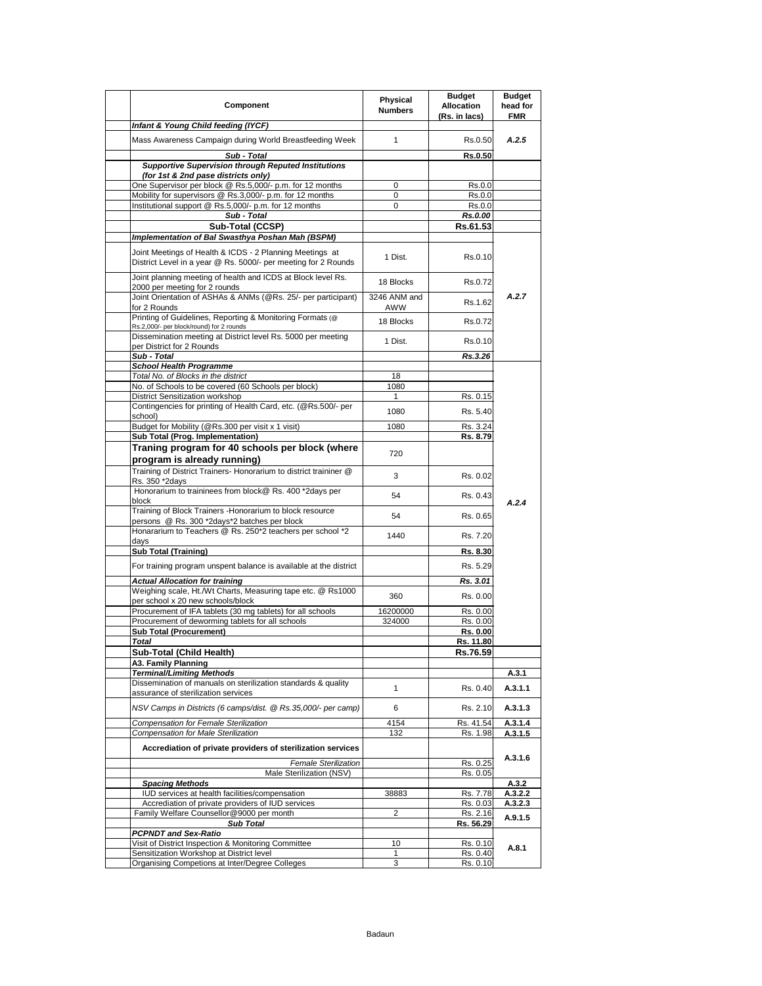| Component                                                                                                                  | Physical<br><b>Numbers</b> | <b>Budget</b><br><b>Allocation</b><br>(Rs. in lacs) | <b>Budget</b><br>head for<br><b>FMR</b> |
|----------------------------------------------------------------------------------------------------------------------------|----------------------------|-----------------------------------------------------|-----------------------------------------|
| Infant & Young Child feeding (IYCF)                                                                                        |                            |                                                     |                                         |
| Mass Awareness Campaign during World Breastfeeding Week                                                                    | $\mathbf{1}$               | Rs.0.50                                             | A.2.5                                   |
| Sub - Total                                                                                                                |                            | <b>Rs.0.50</b>                                      |                                         |
| <b>Supportive Supervision through Reputed Institutions</b>                                                                 |                            |                                                     |                                         |
| (for 1st & 2nd pase districts only)<br>One Supervisor per block @ Rs.5,000/- p.m. for 12 months                            | 0                          | Rs.0.0                                              |                                         |
| Mobility for supervisors @ Rs.3,000/- p.m. for 12 months                                                                   | 0                          | Rs.0.0                                              |                                         |
| Institutional support @ Rs.5,000/- p.m. for 12 months                                                                      | 0                          | Rs.0.0                                              |                                         |
| Sub - Total                                                                                                                |                            | Rs.0.00                                             |                                         |
| Sub-Total (CCSP)                                                                                                           |                            | Rs.61.53                                            |                                         |
| Implementation of Bal Swasthya Poshan Mah (BSPM)                                                                           |                            |                                                     |                                         |
| Joint Meetings of Health & ICDS - 2 Planning Meetings at<br>District Level in a year @ Rs. 5000/- per meeting for 2 Rounds | 1 Dist.                    | Rs.0.10                                             |                                         |
| Joint planning meeting of health and ICDS at Block level Rs.<br>2000 per meeting for 2 rounds                              | 18 Blocks                  | Rs.0.72                                             |                                         |
| Joint Orientation of ASHAs & ANMs (@Rs. 25/- per participant)<br>for 2 Rounds                                              | 3246 ANM and<br>AWW        | Rs.1.62                                             | A.2.7                                   |
| Printing of Guidelines, Reporting & Monitoring Formats (@<br>Rs.2,000/- per block/round) for 2 rounds                      | 18 Blocks                  | Rs.0.72                                             |                                         |
| Dissemination meeting at District level Rs. 5000 per meeting<br>per District for 2 Rounds                                  | 1 Dist.                    | Rs.0.10                                             |                                         |
| Sub - Total                                                                                                                |                            | Rs.3.26                                             |                                         |
| <b>School Health Programme</b>                                                                                             |                            |                                                     |                                         |
| Total No. of Blocks in the district<br>No. of Schools to be covered (60 Schools per block)                                 | 18<br>1080                 |                                                     |                                         |
| District Sensitization workshop                                                                                            |                            | Rs. 0.15                                            |                                         |
| Contingencies for printing of Health Card, etc. (@Rs.500/- per                                                             |                            |                                                     |                                         |
| school)                                                                                                                    | 1080                       | Rs. 5.40                                            |                                         |
| Budget for Mobility (@Rs.300 per visit x 1 visit)                                                                          | 1080                       | Rs. 3.24                                            |                                         |
| Sub Total (Prog. Implementation)                                                                                           |                            | Rs. 8.79                                            |                                         |
| Traning program for 40 schools per block (where<br>program is already running)                                             | 720                        |                                                     |                                         |
| Training of District Trainers- Honorarium to district traininer @<br>Rs. 350 *2days                                        | 3                          | Rs. 0.02                                            |                                         |
| Honorarium to traininees from block@ Rs. 400 *2days per<br>block                                                           | 54                         | Rs. 0.43                                            | A.2.4                                   |
| Training of Block Trainers - Honorarium to block resource<br>persons @ Rs. 300 *2days*2 batches per block                  | 54                         | Rs. 0.65                                            |                                         |
| Honararium to Teachers @ Rs. 250*2 teachers per school *2<br>days                                                          | 1440                       | Rs. 7.20                                            |                                         |
| <b>Sub Total (Training)</b>                                                                                                |                            | Rs. 8.30                                            |                                         |
| For training program unspent balance is available at the district                                                          |                            | Rs. 5.29                                            |                                         |
| <b>Actual Allocation for training</b>                                                                                      |                            | Rs. 3.01                                            |                                         |
| Weighing scale, Ht./Wt Charts, Measuring tape etc. @ Rs1000                                                                | 360                        | Rs. 0.00                                            |                                         |
| per school x 20 new schools/block                                                                                          |                            |                                                     |                                         |
| Procurement of IFA tablets (30 mg tablets) for all schools                                                                 | 16200000                   | Rs. 0.00                                            |                                         |
| Procurement of deworming tablets for all schools<br><b>Sub Total (Procurement)</b>                                         | 324000                     | Rs. 0.00<br>Rs. 0.00                                |                                         |
| Total                                                                                                                      |                            | Rs. 11.80                                           |                                         |
| Sub-Total (Child Health)                                                                                                   |                            | Rs.76.59                                            |                                         |
| A3. Family Planning                                                                                                        |                            |                                                     |                                         |
| <b>Terminal/Limiting Methods</b>                                                                                           |                            |                                                     | A.3.1                                   |
| Dissemination of manuals on sterilization standards & quality<br>assurance of sterilization services                       | 1                          | Rs. 0.40                                            | A.3.1.1                                 |
| NSV Camps in Districts (6 camps/dist. @ Rs.35,000/- per camp)                                                              | 6                          | Rs. 2.10                                            | A.3.1.3                                 |
| Compensation for Female Sterilization                                                                                      | 4154                       | Rs. 41.54                                           | A.3.1.4                                 |
| Compensation for Male Sterilization                                                                                        | 132                        | Rs. 1.98                                            | A.3.1.5                                 |
| Accrediation of private providers of sterilization services<br>Female Sterilization                                        |                            | Rs. 0.25                                            | A.3.1.6                                 |
| Male Sterilization (NSV)                                                                                                   |                            | Rs. 0.05                                            |                                         |
| <b>Spacing Methods</b>                                                                                                     |                            |                                                     | A.3.2                                   |
| IUD services at health facilities/compensation                                                                             | 38883                      | Rs. 7.78                                            | A.3.2.2                                 |
| Accrediation of private providers of IUD services<br>Family Welfare Counsellor@9000 per month                              | 2                          | Rs. 0.03<br>Rs. 2.16                                | A.3.2.3                                 |
| Sub Total                                                                                                                  |                            | Rs. 56.29                                           | A.9.1.5                                 |
| <b>PCPNDT and Sex-Ratio</b>                                                                                                |                            |                                                     |                                         |
| Visit of District Inspection & Monitoring Committee                                                                        | 10                         | Rs. 0.10                                            | A.8.1                                   |
| Sensitization Workshop at District level<br>Organising Competions at Inter/Degree Colleges                                 | 1<br>3                     | Rs. 0.40<br>Rs. 0.10                                |                                         |
|                                                                                                                            |                            |                                                     |                                         |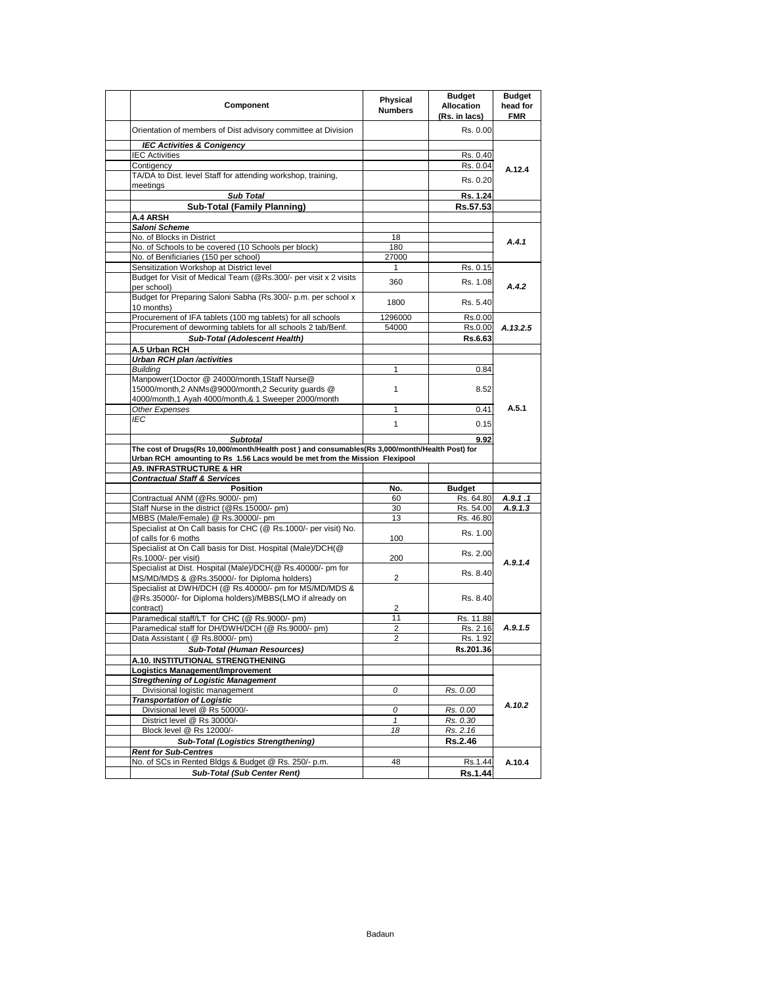| Component                                                                                                   | Physical<br><b>Numbers</b> | <b>Budget</b><br><b>Allocation</b><br>(Rs. in lacs) | <b>Budget</b><br>head for<br><b>FMR</b> |
|-------------------------------------------------------------------------------------------------------------|----------------------------|-----------------------------------------------------|-----------------------------------------|
| Orientation of members of Dist advisory committee at Division                                               |                            | Rs. 0.00                                            |                                         |
| <b>IEC Activities &amp; Conigency</b>                                                                       |                            |                                                     |                                         |
| <b>IEC Activities</b>                                                                                       |                            | Rs. 0.40                                            |                                         |
| Contigency                                                                                                  |                            | Rs. 0.04                                            | A.12.4                                  |
| TA/DA to Dist. level Staff for attending workshop, training,<br>meetings                                    |                            | Rs. 0.20                                            |                                         |
| <b>Sub Total</b>                                                                                            |                            | Rs. 1.24                                            |                                         |
| <b>Sub-Total (Family Planning)</b>                                                                          |                            | Rs.57.53                                            |                                         |
| A.4 ARSH                                                                                                    |                            |                                                     |                                         |
| Saloni Scheme                                                                                               |                            |                                                     |                                         |
| No. of Blocks in District                                                                                   | 18                         |                                                     | A.4.1                                   |
| No. of Schools to be covered (10 Schools per block)                                                         | 180                        |                                                     |                                         |
| No. of Benificiaries (150 per school)                                                                       | 27000                      |                                                     |                                         |
| Sensitization Workshop at District level                                                                    | 1                          | Rs. 0.15                                            |                                         |
| Budget for Visit of Medical Team (@Rs.300/- per visit x 2 visits<br>per school)                             | 360                        | Rs. 1.08                                            | A.4.2                                   |
| Budget for Preparing Saloni Sabha (Rs.300/- p.m. per school x<br>10 months)                                 | 1800                       | Rs. 5.40                                            |                                         |
| Procurement of IFA tablets (100 mg tablets) for all schools                                                 | 1296000                    | Rs.0.00                                             |                                         |
| Procurement of deworming tablets for all schools 2 tab/Benf.                                                | 54000                      | Rs.0.00                                             | A.13.2.5                                |
| Sub-Total (Adolescent Health)                                                                               |                            | Rs.6.63                                             |                                         |
| A.5 Urban RCH                                                                                               |                            |                                                     |                                         |
| Urban RCH plan /activities                                                                                  |                            |                                                     |                                         |
| <b>Building</b>                                                                                             | 1                          | 0.84                                                |                                         |
| Manpower(1Doctor @ 24000/month,1Staff Nurse@<br>15000/month,2 ANMs@9000/month,2 Security guards @           | 1                          | 8.52                                                |                                         |
| 4000/month, 1 Ayah 4000/month, & 1 Sweeper 2000/month                                                       |                            |                                                     |                                         |
| Other Expenses                                                                                              | 1                          | 0.41                                                | A.5.1                                   |
| <b>IEC</b>                                                                                                  |                            |                                                     |                                         |
|                                                                                                             | $\mathbf{1}$               | 0.15                                                |                                         |
| <b>Subtotal</b>                                                                                             |                            | 9.92                                                |                                         |
| The cost of Drugs(Rs 10,000/month/Health post) and consumables(Rs 3,000/month/Health Post) for              |                            |                                                     |                                         |
| Urban RCH amounting to Rs 1.56 Lacs would be met from the Mission Flexipool                                 |                            |                                                     |                                         |
| <b>A9. INFRASTRUCTURE &amp; HR</b>                                                                          |                            |                                                     |                                         |
| <b>Contractual Staff &amp; Services</b>                                                                     |                            |                                                     |                                         |
| <b>Position</b><br>Contractual ANM (@Rs.9000/- pm)                                                          | No.                        | <b>Budget</b>                                       |                                         |
| Staff Nurse in the district (@Rs.15000/- pm)                                                                | 60<br>30                   | Rs. 64.80<br>Rs. 54.00                              | A.9.1.1<br>A.9.1.3                      |
| MBBS (Male/Female) @ Rs.30000/- pm                                                                          | 13                         | Rs. 46.80                                           |                                         |
| Specialist at On Call basis for CHC (@ Rs.1000/- per visit) No.                                             |                            | Rs. 1.00                                            |                                         |
| of calls for 6 moths                                                                                        | 100                        |                                                     |                                         |
| Specialist at On Call basis for Dist. Hospital (Male)/DCH(@                                                 |                            | Rs. 2.00                                            |                                         |
| Rs.1000/- per visit)                                                                                        | 200                        |                                                     | A.9.1.4                                 |
| Specialist at Dist. Hospital (Male)/DCH(@ Rs.40000/- pm for<br>MS/MD/MDS & @Rs.35000/- for Diploma holders) | 2                          | Rs. 8.40                                            |                                         |
| Specialist at DWH/DCH (@ Rs.40000/- pm for MS/MD/MDS &                                                      |                            |                                                     |                                         |
| @Rs.35000/- for Diploma holders)/MBBS(LMO if already on                                                     |                            | Rs. 8.40                                            |                                         |
| contract)                                                                                                   | 2                          |                                                     |                                         |
| Paramedical staff/LT for CHC (@ Rs.9000/- pm)                                                               | 11                         | Rs. 11.88                                           |                                         |
| Paramedical staff for DH/DWH/DCH (@ Rs.9000/- pm)                                                           | 2                          | Rs. 2.16                                            | A.9.1.5                                 |
| Data Assistant (@ Rs.8000/- pm)                                                                             | 2                          | Rs. 1.92                                            |                                         |
| Sub-Total (Human Resources)                                                                                 |                            | Rs.201.36                                           |                                         |
| A.10. INSTITUTIONAL STRENGTHENING                                                                           |                            |                                                     |                                         |
| Logistics Management/Improvement                                                                            |                            |                                                     |                                         |
| <b>Stregthening of Logistic Management</b>                                                                  | 0                          |                                                     |                                         |
| Divisional logistic management<br><b>Transportation of Logistic</b>                                         |                            | Rs. 0.00                                            |                                         |
| Divisional level @ Rs 50000/-                                                                               | 0                          | Rs. 0.00                                            | A.10.2                                  |
| District level @ Rs 30000/-                                                                                 | $\mathbf{1}$               | Rs. 0.30                                            |                                         |
| Block level @ Rs 12000/-                                                                                    | 18                         | Rs. 2.16                                            |                                         |
| <b>Sub-Total (Logistics Strengthening)</b>                                                                  |                            |                                                     |                                         |
|                                                                                                             |                            |                                                     |                                         |
|                                                                                                             |                            | <b>Rs.2.46</b>                                      |                                         |
| <b>Rent for Sub-Centres</b>                                                                                 |                            |                                                     |                                         |
| No. of SCs in Rented Bldgs & Budget @ Rs. 250/- p.m.<br><b>Sub-Total (Sub Center Rent)</b>                  | 48                         | Rs.1.44<br>Rs.1.44                                  | A.10.4                                  |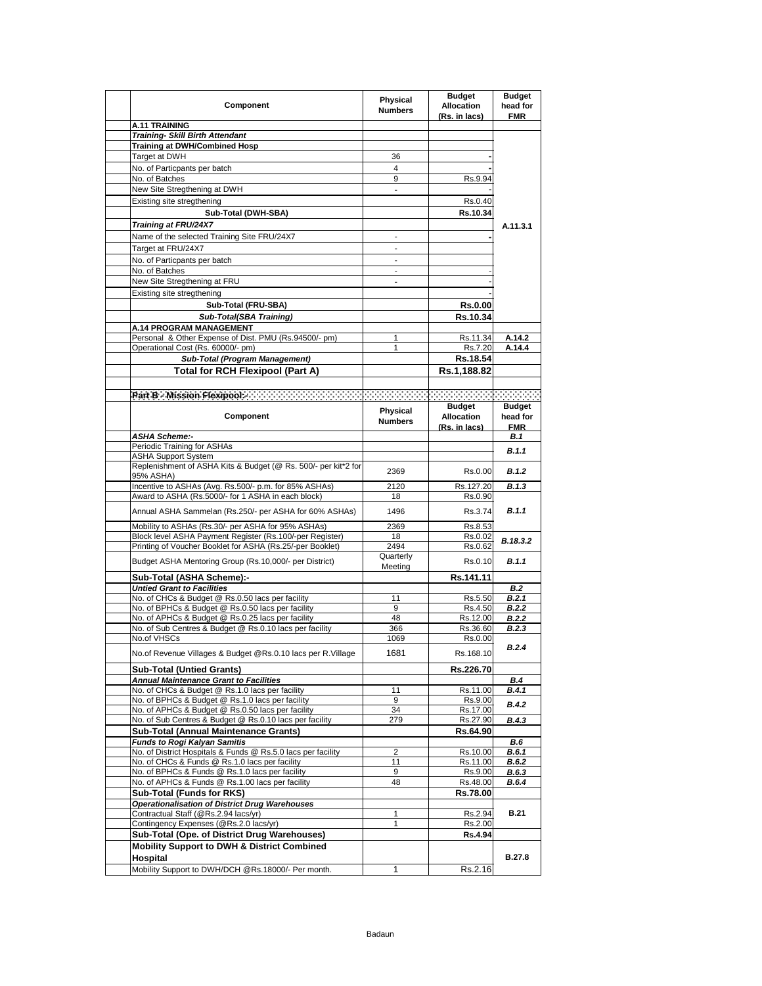| Component                                                                                             | Physical<br><b>Numbers</b> | <b>Budget</b><br>Allocation<br>(Rs. in lacs) | <b>Budget</b><br>head for<br><b>FMR</b> |
|-------------------------------------------------------------------------------------------------------|----------------------------|----------------------------------------------|-----------------------------------------|
| A.11 TRAINING                                                                                         |                            |                                              |                                         |
| <b>Training- Skill Birth Attendant</b>                                                                |                            |                                              |                                         |
| <b>Training at DWH/Combined Hosp</b>                                                                  |                            |                                              |                                         |
| Target at DWH                                                                                         | 36                         |                                              |                                         |
| No. of Particpants per batch                                                                          | 4                          |                                              |                                         |
| No. of Batches                                                                                        | 9                          | Rs.9.94                                      |                                         |
| New Site Stregthening at DWH                                                                          | $\overline{\phantom{a}}$   |                                              |                                         |
| Existing site stregthening                                                                            |                            | Rs.0.40                                      |                                         |
| Sub-Total (DWH-SBA)                                                                                   |                            | Rs.10.34                                     |                                         |
| Training at FRU/24X7                                                                                  |                            |                                              | A.11.3.1                                |
| Name of the selected Training Site FRU/24X7                                                           |                            |                                              |                                         |
| Target at FRU/24X7                                                                                    | $\overline{\phantom{a}}$   |                                              |                                         |
| No. of Particpants per batch<br>No. of Batches                                                        | ÷                          |                                              |                                         |
| New Site Stregthening at FRU                                                                          | $\overline{\phantom{a}}$   |                                              |                                         |
| Existing site stregthening                                                                            |                            |                                              |                                         |
| Sub-Total (FRU-SBA)                                                                                   |                            |                                              |                                         |
| <b>Sub-Total(SBA Training)</b>                                                                        |                            | <b>Rs.0.00</b><br>Rs.10.34                   |                                         |
| A.14 PROGRAM MANAGEMENT                                                                               |                            |                                              |                                         |
| Personal & Other Expense of Dist. PMU (Rs.94500/- pm)                                                 | 1                          | Rs.11.34                                     | A.14.2                                  |
| Operational Cost (Rs. 60000/- pm)                                                                     | 1                          | Rs.7.20                                      | A.14.4                                  |
| <b>Sub-Total (Program Management)</b>                                                                 |                            | Rs.18.54                                     |                                         |
| <b>Total for RCH Flexipool (Part A)</b>                                                               |                            | Rs.1,188.82                                  |                                         |
|                                                                                                       |                            |                                              |                                         |
| Part B - Mission Flexipool - Contract Contract Contract Contract Contract                             |                            | 22222222222                                  | -22222                                  |
|                                                                                                       |                            | <b>Budget</b>                                | Budget                                  |
| Component                                                                                             | Physical<br><b>Numbers</b> | Allocation                                   | head for                                |
|                                                                                                       |                            | (Rs. in lacs)                                | <b>FMR</b>                              |
| <b>ASHA Scheme:-</b>                                                                                  |                            |                                              | B.1                                     |
| Periodic Training for ASHAs<br><b>ASHA Support System</b>                                             |                            |                                              | B.1.1                                   |
| Replenishment of ASHA Kits & Budget (@ Rs. 500/- per kit*2 for                                        |                            |                                              |                                         |
| 95% ASHA)                                                                                             | 2369                       | Rs.0.00                                      | B.1.2                                   |
| Incentive to ASHAs (Avg. Rs.500/- p.m. for 85% ASHAs)                                                 | 2120                       | Rs.127.20                                    | B.1.3                                   |
| Award to ASHA (Rs.5000/- for 1 ASHA in each block)                                                    | 18                         | Rs.0.90                                      |                                         |
| Annual ASHA Sammelan (Rs.250/- per ASHA for 60% ASHAs)                                                | 1496                       | Rs.3.74                                      | B.1.1                                   |
| Mobility to ASHAs (Rs.30/- per ASHA for 95% ASHAs)                                                    | 2369                       | Rs.8.53                                      |                                         |
| Block level ASHA Payment Register (Rs.100/-per Register)                                              | 18                         | Rs.0.02                                      | B.18.3.2                                |
| Printing of Voucher Booklet for ASHA (Rs.25/-per Booklet)                                             | 2494                       | Rs.0.62                                      |                                         |
| Budget ASHA Mentoring Group (Rs.10,000/- per District)                                                | Quarterly<br>Meeting       | Rs.0.10                                      | B.1.1                                   |
| Sub-Total (ASHA Scheme):-                                                                             |                            | Rs.141.11                                    |                                         |
| <b>Untied Grant to Facilities</b>                                                                     |                            |                                              | <b>B.2</b>                              |
| No. of CHCs & Budget @ Rs.0.50 lacs per facility<br>No. of BPHCs & Budget @ Rs.0.50 lacs per facility | 11<br>9                    | Rs.5.50<br>Rs.4.50                           | B.2.1<br><b>B.2.2</b>                   |
| No. of APHCs & Budget @ Rs.0.25 lacs per facility                                                     | 48                         | Rs.12.00                                     | <b>B.2.2</b>                            |
| No. of Sub Centres & Budget @ Rs.0.10 lacs per facility                                               | 366                        | Rs.36.60                                     | B.2.3                                   |
| No.of VHSCs                                                                                           | 1069                       | Rs.0.00                                      |                                         |
| No.of Revenue Villages & Budget @Rs.0.10 lacs per R.Village                                           | 1681                       | Rs.168.10                                    | B.2.4                                   |
| <b>Sub-Total (Untied Grants)</b>                                                                      |                            | Rs.226.70                                    |                                         |
| <b>Annual Maintenance Grant to Facilities</b>                                                         |                            |                                              | <b>B.4</b>                              |
| No. of CHCs & Budget @ Rs.1.0 lacs per facility                                                       | 11                         | Rs.11.00                                     | B.4.1                                   |
| No. of BPHCs & Budget @ Rs.1.0 lacs per facility                                                      | 9                          | Rs.9.00                                      | B.4.2                                   |
| No. of APHCs & Budget @ Rs.0.50 lacs per facility                                                     | 34<br>279                  | Rs.17.00                                     | B.4.3                                   |
| No. of Sub Centres & Budget @ Rs.0.10 lacs per facility<br>Sub-Total (Annual Maintenance Grants)      |                            | Rs.27.90<br>Rs.64.90                         |                                         |
| <b>Funds to Rogi Kalyan Samitis</b>                                                                   |                            |                                              | B.6                                     |
| No. of District Hospitals & Funds @ Rs.5.0 lacs per facility                                          | $\overline{2}$             | Rs.10.00                                     | B.6.1                                   |
| No. of CHCs & Funds @ Rs.1.0 lacs per facility                                                        | 11                         | Rs.11.00                                     | B.6.2                                   |
| No. of BPHCs & Funds @ Rs.1.0 lacs per facility                                                       | 9                          | Rs.9.00                                      | B.6.3                                   |
| No. of APHCs & Funds @ Rs.1.00 lacs per facility                                                      | 48                         | Rs.48.00                                     | B.6.4                                   |
| <b>Sub-Total (Funds for RKS)</b>                                                                      |                            | Rs.78.00                                     |                                         |
| <b>Operationalisation of District Drug Warehouses</b>                                                 |                            |                                              |                                         |
| Contractual Staff (@Rs.2.94 lacs/yr)                                                                  | 1                          | Rs.2.94                                      | <b>B.21</b>                             |
| Contingency Expenses (@Rs.2.0 lacs/yr)<br>Sub-Total (Ope. of District Drug Warehouses)                | 1                          | Rs.2.00<br>Rs.4.94                           |                                         |
| <b>Mobility Support to DWH &amp; District Combined</b>                                                |                            |                                              |                                         |
| Hospital                                                                                              |                            |                                              | B.27.8                                  |
| Mobility Support to DWH/DCH @Rs.18000/- Per month.                                                    | 1                          | Rs.2.16                                      |                                         |
|                                                                                                       |                            |                                              |                                         |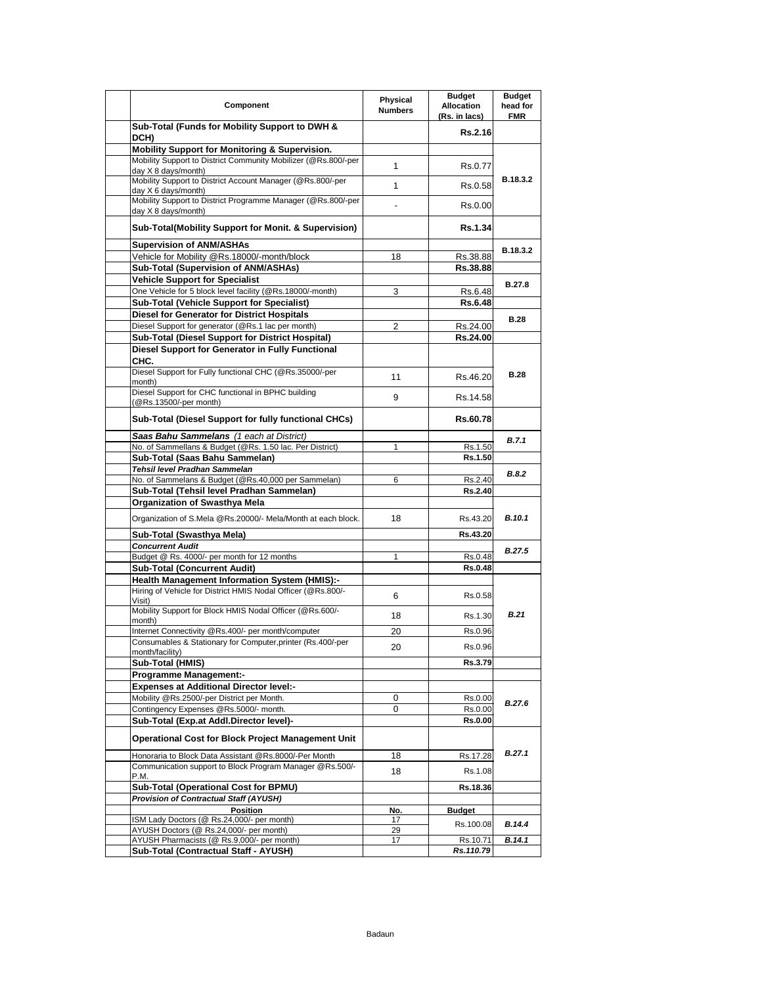|                                                                | Physical       | <b>Budget</b>     | <b>Budget</b> |
|----------------------------------------------------------------|----------------|-------------------|---------------|
| Component                                                      | <b>Numbers</b> | <b>Allocation</b> | head for      |
|                                                                |                | (Rs. in lacs)     | <b>FMR</b>    |
| Sub-Total (Funds for Mobility Support to DWH &                 |                | Rs.2.16           |               |
| DCH)                                                           |                |                   |               |
| Mobility Support for Monitoring & Supervision.                 |                |                   |               |
| Mobility Support to District Community Mobilizer (@Rs.800/-per |                |                   |               |
|                                                                | 1              | Rs.0.77           |               |
| day X 8 days/month)                                            |                |                   | B.18.3.2      |
| Mobility Support to District Account Manager (@Rs.800/-per     | 1              | Rs.0.58           |               |
| day $X$ 6 days/month)                                          |                |                   |               |
| Mobility Support to District Programme Manager (@Rs.800/-per   |                |                   |               |
| day X 8 days/month)                                            |                | Rs.0.00           |               |
|                                                                |                |                   |               |
| Sub-Total(Mobility Support for Monit. & Supervision)           |                | Rs.1.34           |               |
|                                                                |                |                   |               |
| <b>Supervision of ANM/ASHAs</b>                                |                |                   | B.18.3.2      |
| Vehicle for Mobility @Rs.18000/-month/block                    | 18             | Rs.38.88          |               |
| Sub-Total (Supervision of ANM/ASHAs)                           |                | Rs.38.88          |               |
|                                                                |                |                   |               |
| <b>Vehicle Support for Specialist</b>                          |                |                   | <b>B.27.8</b> |
| One Vehicle for 5 block level facility (@Rs.18000/-month)      | 3              | Rs 6.48           |               |
| Sub-Total (Vehicle Support for Specialist)                     |                | <b>Rs.6.48</b>    |               |
|                                                                |                |                   |               |
| <b>Diesel for Generator for District Hospitals</b>             |                |                   | <b>B.28</b>   |
| Diesel Support for generator (@Rs.1 lac per month)             | 2              | Rs.24.00          |               |
| Sub-Total (Diesel Support for District Hospital)               |                | Rs.24.00          |               |
| Diesel Support for Generator in Fully Functional               |                |                   |               |
|                                                                |                |                   |               |
| CHC.                                                           |                |                   |               |
| Diesel Support for Fully functional CHC (@Rs.35000/-per        |                |                   | <b>B.28</b>   |
| month)                                                         | 11             | Rs.46.20          |               |
| Diesel Support for CHC functional in BPHC building             |                |                   |               |
| (@Rs.13500/-per month)                                         | 9              | Rs 14.58          |               |
|                                                                |                |                   |               |
| Sub-Total (Diesel Support for fully functional CHCs)           |                | Rs.60.78          |               |
|                                                                |                |                   |               |
| Saas Bahu Sammelans (1 each at District)                       |                |                   |               |
| No. of Sammellans & Budget (@Rs. 1.50 lac. Per District)       | 1              | Rs.1.50           | B.7.1         |
| Sub-Total (Saas Bahu Sammelan)                                 |                | Rs.1.50           |               |
|                                                                |                |                   |               |
| Tehsil level Pradhan Sammelan                                  |                |                   | B.8.2         |
| No. of Sammelans & Budget (@Rs.40,000 per Sammelan)            | 6              | Rs.2.40           |               |
| Sub-Total (Tehsil level Pradhan Sammelan)                      |                | Rs.2.40           |               |
| Organization of Swasthya Mela                                  |                |                   |               |
|                                                                |                |                   |               |
| Organization of S.Mela @Rs.20000/- Mela/Month at each block.   | 18             | Rs.43.20          | <b>B.10.1</b> |
|                                                                |                |                   |               |
| Sub-Total (Swasthya Mela)                                      |                | Rs.43.20          |               |
| <b>Concurrent Audit</b>                                        |                |                   |               |
| Budget @ Rs. 4000/- per month for 12 months                    | 1              | Rs.0.48           | B.27.5        |
|                                                                |                |                   |               |
| <b>Sub-Total (Concurrent Audit)</b>                            |                | <b>Rs.0.48</b>    |               |
| Health Management Information System (HMIS):-                  |                |                   |               |
| Hiring of Vehicle for District HMIS Nodal Officer (@Rs.800/-   |                |                   |               |
| Visit)                                                         | 6              | Rs.0.58           |               |
| Mobility Support for Block HMIS Nodal Officer (@Rs.600/-       |                |                   |               |
|                                                                | 18             | Rs.1.30           | <b>B.21</b>   |
| month)                                                         |                |                   |               |
| Internet Connectivity @Rs.400/- per month/computer             | 20             | Rs.0.96           |               |
| Consumables & Stationary for Computer, printer (Rs.400/-per    | 20             | Rs.0.96           |               |
| month/facility)                                                |                |                   |               |
| Sub-Total (HMIS)                                               |                | Rs.3.79           |               |
| <b>Programme Management:-</b>                                  |                |                   |               |
|                                                                |                |                   |               |
| <b>Expenses at Additional Director level:-</b>                 |                |                   |               |
| Mobility @Rs.2500/-per District per Month.                     | 0              | Rs.0.00           |               |
| Contingency Expenses @Rs.5000/- month.                         | 0              | Rs.0.00           | B.27.6        |
|                                                                |                |                   |               |
| Sub-Total (Exp.at Addl.Director level)-                        |                | Rs.0.00           |               |
|                                                                |                |                   |               |
| <b>Operational Cost for Block Project Management Unit</b>      |                |                   |               |
| Honoraria to Block Data Assistant @Rs.8000/-Per Month          | 18             | Rs.17.28          | B.27.1        |
|                                                                |                |                   |               |
| Communication support to Block Program Manager @Rs.500/-       | 18             | Rs.1.08           |               |
| P.M.                                                           |                |                   |               |
| Sub-Total (Operational Cost for BPMU)                          |                | Rs.18.36          |               |
| <b>Provision of Contractual Staff (AYUSH)</b>                  |                |                   |               |
| Position                                                       | No.            | Budget            |               |
| ISM Lady Doctors (@ Rs.24,000/- per month)                     |                |                   |               |
|                                                                | 17             | Rs.100.08         | B.14.4        |
| AYUSH Doctors (@ Rs.24,000/- per month)                        | 29             |                   |               |
| AYUSH Pharmacists (@ Rs.9,000/- per month)                     | 17             | Rs.10.71          | B.14.1        |
| Sub-Total (Contractual Staff - AYUSH)                          |                | Rs.110.79         |               |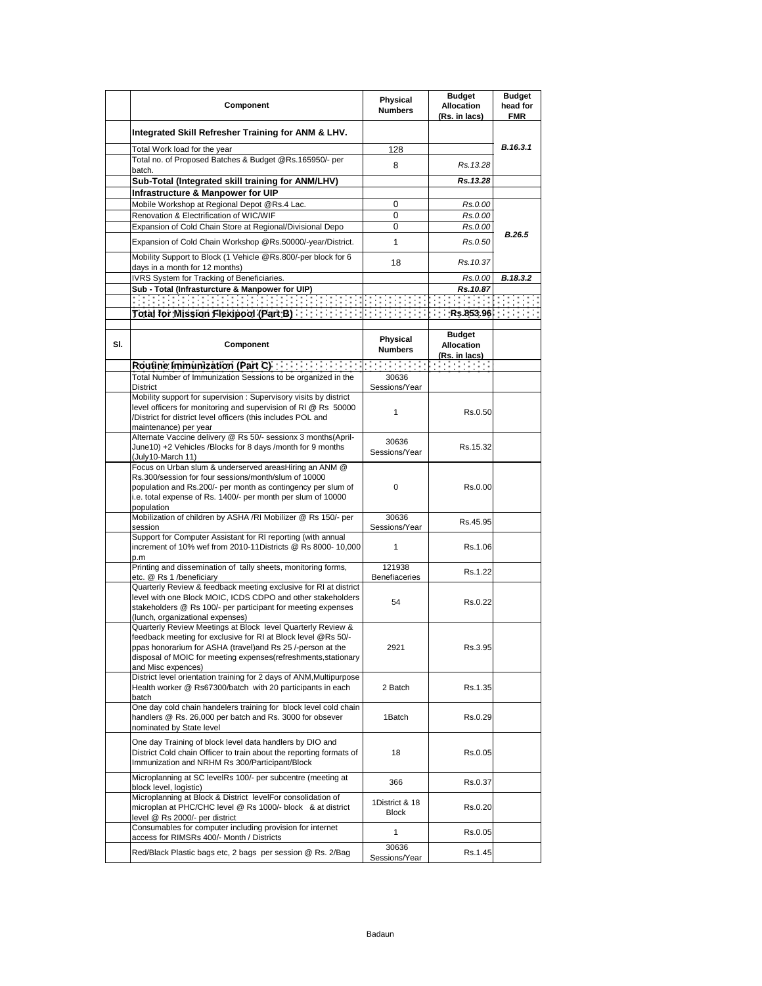|     | Component                                                                                                                                                                                                                                                                           | Physical<br><b>Numbers</b>     | <b>Budget</b><br><b>Allocation</b><br>(Rs. in lacs) | <b>Budget</b><br>head for<br><b>FMR</b> |
|-----|-------------------------------------------------------------------------------------------------------------------------------------------------------------------------------------------------------------------------------------------------------------------------------------|--------------------------------|-----------------------------------------------------|-----------------------------------------|
|     | Integrated Skill Refresher Training for ANM & LHV.                                                                                                                                                                                                                                  |                                |                                                     |                                         |
|     | Total Work load for the year                                                                                                                                                                                                                                                        | 128                            |                                                     | B.16.3.1                                |
|     | Total no. of Proposed Batches & Budget @Rs.165950/- per<br>batch.                                                                                                                                                                                                                   | 8                              | Rs. 13.28                                           |                                         |
|     | Sub-Total (Integrated skill training for ANM/LHV)                                                                                                                                                                                                                                   |                                | Rs.13.28                                            |                                         |
|     | Infrastructure & Manpower for UIP                                                                                                                                                                                                                                                   |                                |                                                     |                                         |
|     | Mobile Workshop at Regional Depot @Rs.4 Lac.                                                                                                                                                                                                                                        | 0                              | Rs.0.00                                             |                                         |
|     | Renovation & Electrification of WIC/WIF                                                                                                                                                                                                                                             | 0                              | Rs.0.00                                             |                                         |
|     | Expansion of Cold Chain Store at Regional/Divisional Depo                                                                                                                                                                                                                           | 0                              | Rs.0.00                                             | B.26.5                                  |
|     | Expansion of Cold Chain Workshop @Rs.50000/-year/District.                                                                                                                                                                                                                          | 1                              | Rs.0.50                                             |                                         |
|     | Mobility Support to Block (1 Vehicle @Rs.800/-per block for 6<br>days in a month for 12 months)                                                                                                                                                                                     | 18                             | Rs.10.37                                            |                                         |
|     | IVRS System for Tracking of Beneficiaries.                                                                                                                                                                                                                                          |                                | Rs.0.00                                             | B.18.3.2                                |
|     | Sub - Total (Infrasturcture & Manpower for UIP)                                                                                                                                                                                                                                     |                                | Rs.10.87                                            |                                         |
|     | 医克罗克氏病 医马克氏病 医马克氏病 医阿克里克氏试验检                                                                                                                                                                                                                                                        |                                |                                                     | in Britannia                            |
|     |                                                                                                                                                                                                                                                                                     |                                |                                                     |                                         |
| SI. | Component                                                                                                                                                                                                                                                                           | Physical<br><b>Numbers</b>     | <b>Budget</b><br><b>Allocation</b><br>(Rs. in lacs) |                                         |
|     | Routine Immunization (Part C) <b>State Contains a State Inc.</b>                                                                                                                                                                                                                    |                                |                                                     |                                         |
|     | Total Number of Immunization Sessions to be organized in the<br>District                                                                                                                                                                                                            | 30636<br>Sessions/Year         |                                                     |                                         |
|     | Mobility support for supervision: Supervisory visits by district<br>level officers for monitoring and supervision of RI @ Rs 50000<br>/District for district level officers (this includes POL and<br>maintenance) per year                                                         | 1                              | Rs.0.50                                             |                                         |
|     | Alternate Vaccine delivery @ Rs 50/- sessionx 3 months(April-<br>June10) +2 Vehicles /Blocks for 8 days /month for 9 months<br>(July10-March 11)                                                                                                                                    | 30636<br>Sessions/Year         | Rs.15.32                                            |                                         |
|     | Focus on Urban slum & underserved areasHiring an ANM @<br>Rs.300/session for four sessions/month/slum of 10000<br>population and Rs.200/- per month as contingency per slum of<br>i.e. total expense of Rs. 1400/- per month per slum of 10000<br>population                        | $\mathbf 0$                    | Rs.0.00                                             |                                         |
|     | Mobilization of children by ASHA /RI Mobilizer @ Rs 150/- per<br>session                                                                                                                                                                                                            | 30636<br>Sessions/Year         | Rs.45.95                                            |                                         |
|     | Support for Computer Assistant for RI reporting (with annual<br>increment of 10% wef from 2010-11Districts @ Rs 8000- 10,000<br>p.m                                                                                                                                                 | 1                              | Rs.1.06                                             |                                         |
|     | Printing and dissemination of tally sheets, monitoring forms,<br>etc. @ Rs 1 /beneficiary                                                                                                                                                                                           | 121938<br><b>Benefiaceries</b> | Rs.1.22                                             |                                         |
|     | Quarterly Review & feedback meeting exclusive for RI at district<br>level with one Block MOIC, ICDS CDPO and other stakeholders<br>stakeholders @ Rs 100/- per participant for meeting expenses<br>(lunch, organizational expenses)                                                 | 54                             | Rs.0.22                                             |                                         |
|     | Quarterly Review Meetings at Block level Quarterly Review &<br>feedback meeting for exclusive for RI at Block level @Rs 50/-<br>ppas honorarium for ASHA (travel) and Rs 25 /-person at the<br>disposal of MOIC for meeting expenses(refreshments, stationary<br>and Misc expences) | 2921                           | Rs.3.95                                             |                                         |
|     | District level orientation training for 2 days of ANM, Multipurpose<br>Health worker @ Rs67300/batch with 20 participants in each<br>batch                                                                                                                                          | 2 Batch                        | Rs.1.35                                             |                                         |
|     | One day cold chain handelers training for block level cold chain<br>handlers @ Rs. 26,000 per batch and Rs. 3000 for obsever<br>nominated by State level                                                                                                                            | 1Batch                         | Rs.0.29                                             |                                         |
|     | One day Training of block level data handlers by DIO and<br>District Cold chain Officer to train about the reporting formats of<br>Immunization and NRHM Rs 300/Participant/Block                                                                                                   | 18                             | Rs.0.05                                             |                                         |
|     | Microplanning at SC levelRs 100/- per subcentre (meeting at<br>block level, logistic)                                                                                                                                                                                               | 366                            | Rs.0.37                                             |                                         |
|     | Microplanning at Block & District levelFor consolidation of<br>microplan at PHC/CHC level @ Rs 1000/- block & at district<br>level @ Rs 2000/- per district                                                                                                                         | 1District & 18<br><b>Block</b> | Rs.0.20                                             |                                         |
|     | Consumables for computer including provision for internet<br>access for RIMSRs 400/- Month / Districts                                                                                                                                                                              | 1                              | Rs.0.05                                             |                                         |
|     | Red/Black Plastic bags etc, 2 bags per session @ Rs. 2/Bag                                                                                                                                                                                                                          | 30636<br>Sessions/Year         | Rs.1.45                                             |                                         |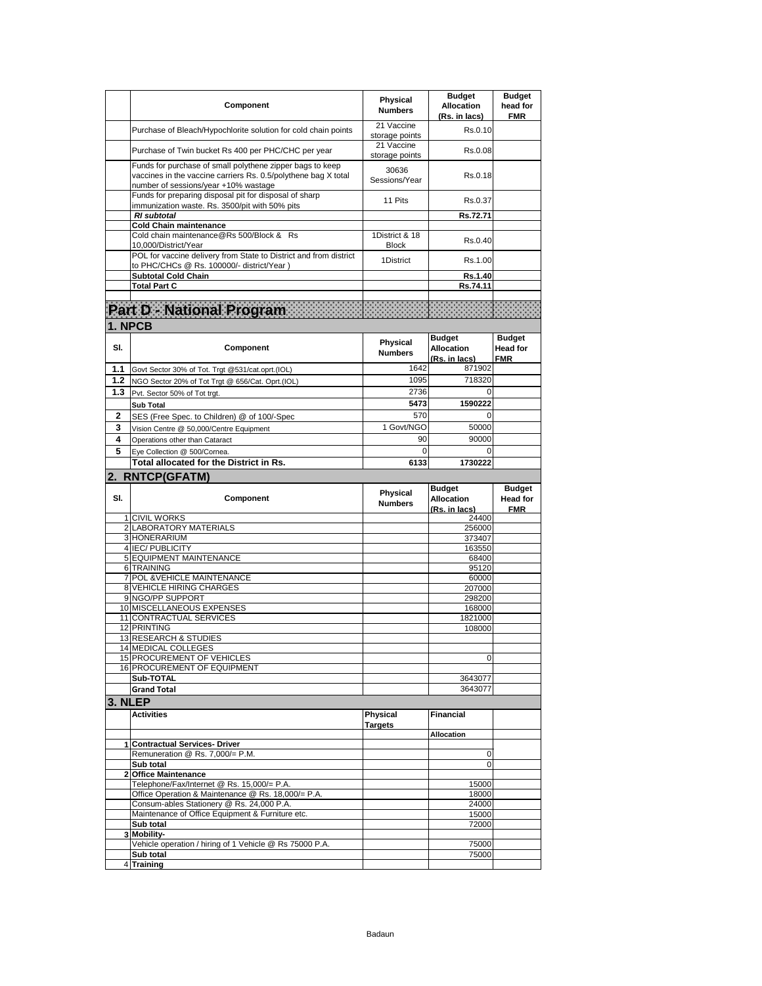|         | Component                                                                                                                                                           | Physical<br><b>Numbers</b>     | <b>Budget</b><br><b>Allocation</b><br>(Rs. in lacs) | <b>Budget</b><br>head for<br><b>FMR</b>        |
|---------|---------------------------------------------------------------------------------------------------------------------------------------------------------------------|--------------------------------|-----------------------------------------------------|------------------------------------------------|
|         | Purchase of Bleach/Hypochlorite solution for cold chain points                                                                                                      | 21 Vaccine<br>storage points   | Rs.0.10                                             |                                                |
|         | Purchase of Twin bucket Rs 400 per PHC/CHC per year                                                                                                                 | 21 Vaccine<br>storage points   | Rs.0.08                                             |                                                |
|         | Funds for purchase of small polythene zipper bags to keep<br>vaccines in the vaccine carriers Rs. 0.5/polythene bag X total<br>number of sessions/year +10% wastage | 30636<br>Sessions/Year         | Rs.0.18                                             |                                                |
|         | Funds for preparing disposal pit for disposal of sharp<br>immunization waste. Rs. 3500/pit with 50% pits                                                            | 11 Pits                        | Rs.0.37                                             |                                                |
|         | <b>RI</b> subtotal<br>Cold Chain maintenance                                                                                                                        |                                | Rs.72.71                                            |                                                |
|         | Cold chain maintenance@Rs 500/Block & Rs<br>10,000/District/Year                                                                                                    | 1District & 18<br><b>Block</b> | Rs.0.40                                             |                                                |
|         | POL for vaccine delivery from State to District and from district<br>to PHC/CHCs @ Rs. 100000/- district/Year)                                                      | 1District                      | Rs.1.00                                             |                                                |
|         | <b>Subtotal Cold Chain</b>                                                                                                                                          |                                | Rs.1.40                                             |                                                |
|         | <b>Total Part C</b>                                                                                                                                                 |                                | Rs.74.11                                            |                                                |
|         | Part D - National Program                                                                                                                                           |                                |                                                     |                                                |
| 1. NPCB |                                                                                                                                                                     |                                |                                                     |                                                |
| SI.     | Component                                                                                                                                                           | Physical<br><b>Numbers</b>     | <b>Budget</b><br><b>Allocation</b><br>(Rs. in lacs) | <b>Budget</b><br><b>Head for</b><br><b>FMR</b> |
| 1.1     | Govt Sector 30% of Tot. Trgt @531/cat.oprt.(IOL)                                                                                                                    | 1642                           | 871902                                              |                                                |
| 1.2     | NGO Sector 20% of Tot Trgt @ 656/Cat. Oprt.(IOL)                                                                                                                    | 1095                           | 718320                                              |                                                |
| 1.3     | Pvt. Sector 50% of Tot trgt.                                                                                                                                        | 2736<br>5473                   | 0<br>1590222                                        |                                                |
| 2       | Sub Total<br>SES (Free Spec. to Children) @ of 100/-Spec                                                                                                            | 570                            | $\Omega$                                            |                                                |
| 3       | Vision Centre @ 50,000/Centre Equipment                                                                                                                             | 1 Govt/NGO                     | 50000                                               |                                                |
| 4       | Operations other than Cataract                                                                                                                                      | 90                             | 90000                                               |                                                |
| 5       | Eye Collection @ 500/Cornea.                                                                                                                                        | $\mathbf 0$                    | 0                                                   |                                                |
|         | Total allocated for the District in Rs.                                                                                                                             | 6133                           | 1730222                                             |                                                |
|         | 2. RNTCP(GFATM)                                                                                                                                                     |                                |                                                     |                                                |
|         |                                                                                                                                                                     |                                |                                                     |                                                |
| SI.     | Component                                                                                                                                                           | Physical<br><b>Numbers</b>     | <b>Budget</b><br><b>Allocation</b><br>(Rs. in lacs) | <b>Budget</b><br><b>Head for</b><br><b>FMR</b> |
|         | 1 CIVIL WORKS                                                                                                                                                       |                                | 24400                                               |                                                |
|         | 2 LABORATORY MATERIALS<br>3 HONERARIUM                                                                                                                              |                                | 256000<br>373407                                    |                                                |
|         | 4 IEC/PUBLICITY                                                                                                                                                     |                                | 163550                                              |                                                |
|         | 5 EQUIPMENT MAINTENANCE                                                                                                                                             |                                | 68400                                               |                                                |
|         | 6 TRAINING<br>7 POL & VEHICLE MAINTENANCE                                                                                                                           |                                | 95120<br>60000                                      |                                                |
|         | 8 VEHICLE HIRING CHARGES                                                                                                                                            |                                | 207000                                              |                                                |
|         | 9 NGO/PP SUPPORT<br>10 MISCELLANEOUS EXPENSES                                                                                                                       |                                | 298200                                              |                                                |
|         | 11 CONTRACTUAL SERVICES                                                                                                                                             |                                | 168000<br>1821000                                   |                                                |
|         | 12 PRINTING                                                                                                                                                         |                                | 108000                                              |                                                |
|         | 13 RESEARCH & STUDIES<br>14 MEDICAL COLLEGES                                                                                                                        |                                |                                                     |                                                |
|         | 15 PROCUREMENT OF VEHICLES                                                                                                                                          |                                | 0                                                   |                                                |
|         | 16 PROCUREMENT OF EQUIPMENT                                                                                                                                         |                                |                                                     |                                                |
|         | Sub-TOTAL                                                                                                                                                           |                                | 3643077<br>3643077                                  |                                                |
|         | <b>Grand Total</b>                                                                                                                                                  |                                |                                                     |                                                |
| 3. NLEP | <b>Activities</b>                                                                                                                                                   | Physical                       | <b>Financial</b>                                    |                                                |
|         |                                                                                                                                                                     | <b>Targets</b>                 | Allocation                                          |                                                |
|         | 1 Contractual Services- Driver                                                                                                                                      |                                |                                                     |                                                |
|         | Remuneration @ Rs. 7,000/= P.M.<br>Sub total                                                                                                                        |                                | 0<br>0                                              |                                                |
| 2       | <b>Office Maintenance</b>                                                                                                                                           |                                |                                                     |                                                |
|         | Telephone/Fax/Internet @ Rs. 15,000/= P.A.                                                                                                                          |                                | 15000                                               |                                                |
|         | Office Operation & Maintenance @ Rs. 18,000/= P.A.                                                                                                                  |                                | 18000                                               |                                                |
|         | Consum-ables Stationery @ Rs. 24,000 P.A.<br>Maintenance of Office Equipment & Furniture etc.                                                                       |                                | 24000<br>15000                                      |                                                |
|         | Sub total                                                                                                                                                           |                                | 72000                                               |                                                |
|         | 3 Mobility-                                                                                                                                                         |                                |                                                     |                                                |
|         | Vehicle operation / hiring of 1 Vehicle @ Rs 75000 P.A.<br>Sub total                                                                                                |                                | 75000<br>75000                                      |                                                |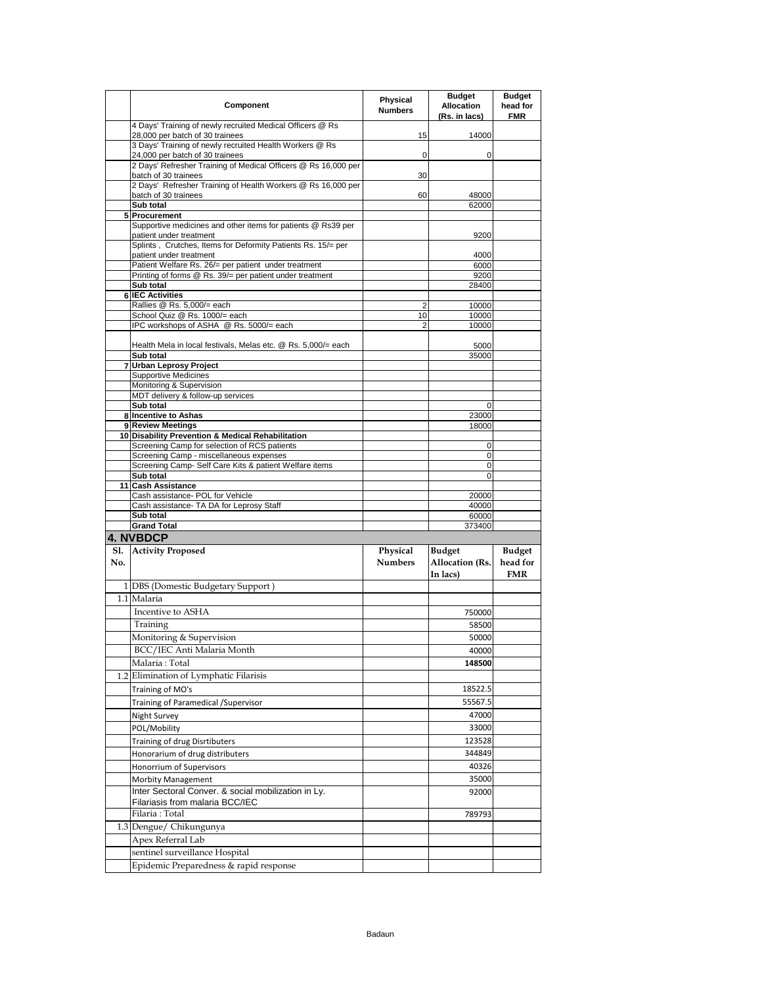|                   | Component                                                                                         | Physical<br><b>Numbers</b> | <b>Budget</b><br><b>Allocation</b><br>(Rs. in lacs) | Budget<br>head for<br><b>FMR</b>        |
|-------------------|---------------------------------------------------------------------------------------------------|----------------------------|-----------------------------------------------------|-----------------------------------------|
|                   | 4 Days' Training of newly recruited Medical Officers @ Rs<br>28,000 per batch of 30 trainees      | 15                         | 14000                                               |                                         |
|                   | 3 Days' Training of newly recruited Health Workers @ Rs                                           | 0                          | 0                                                   |                                         |
|                   | 24,000 per batch of 30 trainees<br>2 Days' Refresher Training of Medical Officers @ Rs 16,000 per |                            |                                                     |                                         |
|                   | batch of 30 trainees<br>2 Days' Refresher Training of Health Workers @ Rs 16,000 per              | 30                         |                                                     |                                         |
|                   | batch of 30 trainees<br>Sub total                                                                 | 60                         | 48000<br>62000                                      |                                         |
|                   | 5 Procurement                                                                                     |                            |                                                     |                                         |
|                   | Supportive medicines and other items for patients @ Rs39 per<br>patient under treatment           |                            | 9200                                                |                                         |
|                   | Splints, Crutches, Items for Deformity Patients Rs. 15/= per                                      |                            |                                                     |                                         |
|                   | patient under treatment<br>Patient Welfare Rs. 26/= per patient under treatment                   |                            | 4000<br>6000                                        |                                         |
|                   | Printing of forms @ Rs. 39/= per patient under treatment                                          |                            | 9200                                                |                                         |
|                   | Sub total                                                                                         |                            | 28400                                               |                                         |
|                   | <b>6 IEC Activities</b><br>Rallies @ Rs. 5,000/= each                                             | 2                          | 10000                                               |                                         |
|                   | School Quiz @ Rs. 1000/= each                                                                     | 10                         | 10000                                               |                                         |
|                   | IPC workshops of ASHA @ Rs. 5000/= each                                                           | 2                          | 10000                                               |                                         |
|                   | Health Mela in local festivals, Melas etc. @ Rs. 5,000/= each                                     |                            | 5000                                                |                                         |
|                   | Sub total                                                                                         |                            | 35000                                               |                                         |
|                   | 7 Urban Leprosy Project<br><b>Supportive Medicines</b>                                            |                            |                                                     |                                         |
|                   | Monitoring & Supervision                                                                          |                            |                                                     |                                         |
|                   | MDT delivery & follow-up services                                                                 |                            |                                                     |                                         |
|                   | Sub total                                                                                         |                            | 0                                                   |                                         |
|                   | 8 Incentive to Ashas                                                                              |                            | 23000                                               |                                         |
|                   | 9 Review Meetings<br>10 Disability Prevention & Medical Rehabilitation                            |                            | 18000                                               |                                         |
|                   | Screening Camp for selection of RCS patients                                                      |                            | 0                                                   |                                         |
|                   | Screening Camp - miscellaneous expenses                                                           |                            | 0                                                   |                                         |
|                   | Screening Camp- Self Care Kits & patient Welfare items                                            |                            | 0                                                   |                                         |
|                   | Sub total<br>11 Cash Assistance                                                                   |                            | $\Omega$                                            |                                         |
|                   | Cash assistance- POL for Vehicle                                                                  |                            | 20000                                               |                                         |
|                   | Cash assistance- TA DA for Leprosy Staff                                                          |                            | 40000                                               |                                         |
|                   | Sub total                                                                                         |                            | 60000                                               |                                         |
|                   | <b>Grand Total</b>                                                                                |                            | 373400                                              |                                         |
|                   | 4. NVBDCP                                                                                         |                            |                                                     |                                         |
| <b>S1.</b><br>No. | <b>Activity Proposed</b>                                                                          | Physical<br><b>Numbers</b> | Budget<br>Allocation (Rs.<br>In lacs)               | <b>Budget</b><br>head for<br><b>FMR</b> |
|                   | 1 DBS (Domestic Budgetary Support)                                                                |                            |                                                     |                                         |
|                   | 1.1 Malaria                                                                                       |                            |                                                     |                                         |
|                   | Incentive to ASHA                                                                                 |                            | 750000                                              |                                         |
|                   | Training                                                                                          |                            | 58500                                               |                                         |
|                   | Monitoring & Supervision                                                                          |                            | 50000                                               |                                         |
|                   | BCC/IEC Anti Malaria Month                                                                        |                            | 40000                                               |                                         |
|                   | Malaria: Total                                                                                    |                            | 148500                                              |                                         |
|                   | 1.2 Elimination of Lymphatic Filarisis                                                            |                            |                                                     |                                         |
|                   | Training of MO's                                                                                  |                            | 18522.5                                             |                                         |
|                   | Training of Paramedical / Supervisor                                                              |                            | 55567.5                                             |                                         |
|                   | Night Survey                                                                                      |                            | 47000                                               |                                         |
|                   | POL/Mobility                                                                                      |                            | 33000                                               |                                         |
|                   | Training of drug Disrtibuters                                                                     |                            | 123528                                              |                                         |
|                   | Honorarium of drug distributers                                                                   |                            | 344849                                              |                                         |
|                   | Honorrium of Supervisors                                                                          |                            | 40326                                               |                                         |
|                   | <b>Morbity Management</b>                                                                         |                            | 35000                                               |                                         |
|                   | Inter Sectoral Conver. & social mobilization in Ly.                                               |                            | 92000                                               |                                         |
|                   | Filariasis from malaria BCC/IEC                                                                   |                            |                                                     |                                         |
|                   | Filaria : Total                                                                                   |                            | 789793                                              |                                         |
|                   | 1.3 Dengue/ Chikungunya                                                                           |                            |                                                     |                                         |
|                   | Apex Referral Lab                                                                                 |                            |                                                     |                                         |
|                   | sentinel surveillance Hospital                                                                    |                            |                                                     |                                         |
|                   | Epidemic Preparedness & rapid response                                                            |                            |                                                     |                                         |